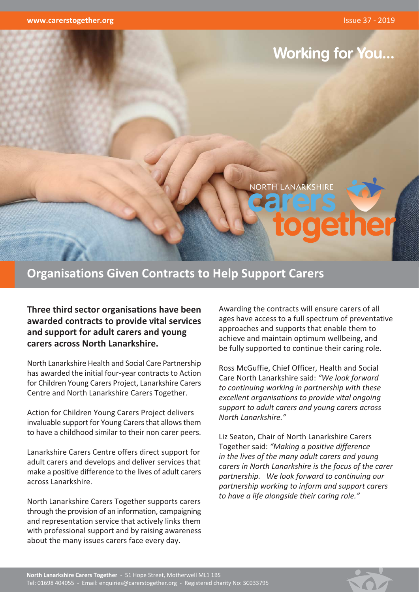

# **Organisations Given Contracts to Help Support Carers**

Three third sector organisations have been awarded contracts to provide vital services and support for adult carers and young carers across North Lanarkshire.

North Lanarkshire Health and Social Care Partnership has awarded the initial four-year contracts to Action for Children Young Carers Project, Lanarkshire Carers Centre and North Lanarkshire Carers Together.

Action for Children Young Carers Project delivers invaluable support for Young Carers that allows them to have a childhood similar to their non carer peers.

Lanarkshire Carers Centre offers direct support for adult carers and develops and deliver services that make a positive difference to the lives of adult carers across Lanarkshire.

North Lanarkshire Carers Together supports carers through the provision of an information, campaigning and representation service that actively links them with professional support and by raising awareness about the many issues carers face every day.

Awarding the contracts will ensure carers of all ages have access to a full spectrum of preventative approaches and supports that enable them to achieve and maintain optimum wellbeing, and be fully supported to continue their caring role.

Ross McGuffie, Chief Officer, Health and Social Care North Lanarkshire said: "We look forward to continuing working in partnership with these excellent organisations to provide vital ongoing support to adult carers and young carers across North Lanarkshire."

Liz Seaton, Chair of North Lanarkshire Carers Together said: "Making a positive difference in the lives of the many adult carers and young carers in North Lanarkshire is the focus of the carer partnership. We look forward to continuing our partnership working to inform and support carers to have a life alongside their caring role."

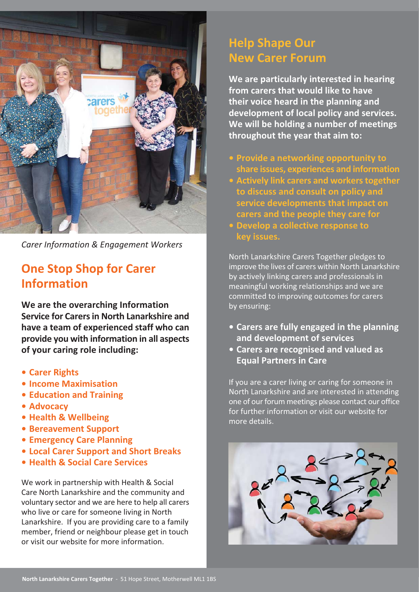

**Carer Information & Engagement Workers** 

# **One Stop Shop for Carer Information**

We are the overarching Information Service for Carers in North Lanarkshire and have a team of experienced staff who can provide you with information in all aspects of your caring role including:

- Carer Rights
- Income Maximisation
- Education and Training
- Advocacy
- Health & Wellbeing
- Bereavement Support
- **Emergency Care Planning**
- Local Carer Support and Short Breaks
- Health & Social Care Services

We work in partnership with Health & Social Care North Lanarkshire and the community and voluntary sector and we are here to help all carers who live or care for someone living in North Lanarkshire. If you are providing care to a family member, friend or neighbour please get in touch or visit our website for more information.

# **Help Shape Our New Carer Forum**

We are particularly interested in hearing from carers that would like to have their voice heard in the planning and development of local policy and services. We will be holding a number of meetings throughout the year that aim to:

- Provide a networking opportunity to share issues, experiences and information
- Actively link carers and workers together to discuss and consult on policy and service developments that impact on carers and the people they care for
- Develop a collective response to key issues.

North Lanarkshire Carers Together pledges to improve the lives of carers within North Lanarkshire by actively linking carers and professionals in meaningful working relationships and we are committed to improving outcomes for carers by ensuring:

- Carers are fully engaged in the planning and development of services
- Carers are recognised and valued as **Equal Partners in Care**

If you are a carer living or caring for someone in North Lanarkshire and are interested in attending one of our forum meetings please contact our office for further information or visit our website for more details.

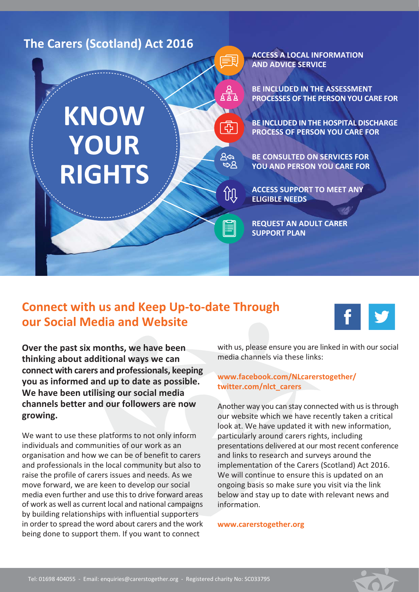

## **Connect with us and Keep Up-to-date Through** our Social Media and Website



Over the past six months, we have been thinking about additional ways we can connect with carers and professionals, keeping you as informed and up to date as possible. We have been utilising our social media channels better and our followers are now growing.

We want to use these platforms to not only inform individuals and communities of our work as an organisation and how we can be of benefit to carers and professionals in the local community but also to raise the profile of carers issues and needs. As we move forward, we are keen to develop our social media even further and use this to drive forward areas of work as well as current local and national campaigns by building relationships with influential supporters in order to spread the word about carers and the work being done to support them. If you want to connect

with us, please ensure you are linked in with our social media channels via these links:

#### www.facebook.com/NLcarerstogether/ twitter.com/nlct carers

Another way you can stay connected with us is through our website which we have recently taken a critical look at. We have updated it with new information, particularly around carers rights, including presentations delivered at our most recent conference and links to research and surveys around the implementation of the Carers (Scotland) Act 2016. We will continue to ensure this is updated on an ongoing basis so make sure you visit via the link below and stay up to date with relevant news and information.

www.carerstogether.org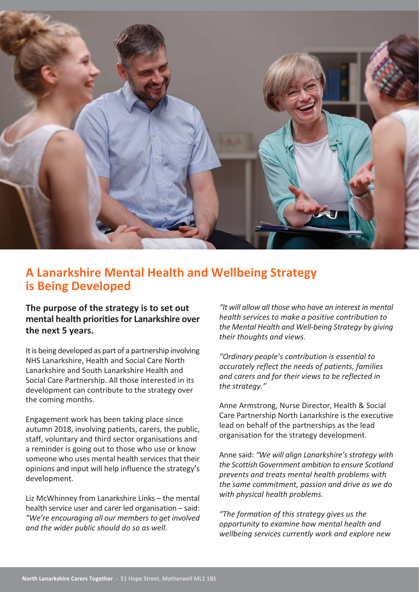

#### A Lanarkshire Mental Health and Wellbeing Strategy is Being Developed

The purpose of the strategy is to set out mental health priorities for Lanarkshire over the next 5 years.

It is being developed as part of a partnership involving NHS Lanarkshire. Health and Social Care North Lanarkshire and South Lanarkshire Health and Social Care Partnership. All those interested in its development can contribute to the strategy over the coming months.

Engagement work has been taking place since autumn 2018, involving patients, carers, the public, staff, voluntary and third sector organisations and a reminder is going out to those who use or know someone who uses mental health services that their opinions and input will help influence the strategy's development.

Liz McWhinney from Lanarkshire Links - the mental health service user and carer led organisation - said: "We're encouraging all our members to get involved and the wider public should do so as well.

"It will allow all those who have an interest in mental health services to make a positive contribution to the Mental Health and Well-being Strategy by giving their thoughts and views.

"Ordinary people's contribution is essential to accurately reflect the needs of patients, families and carers and for their views to be reflected in the strategy."

Anne Armstrong, Nurse Director, Health & Social Care Partnership North Lanarkshire is the executive lead on behalf of the partnerships as the lead organisation for the strategy development.

Anne said: "We will align Lanarkshire's strategy with the Scottish Government ambition to ensure Scotland prevents and treats mental health problems with the same commitment, passion and drive as we do with physical health problems.

"The formation of this strategy gives us the opportunity to examine how mental health and wellbeing services currently work and explore new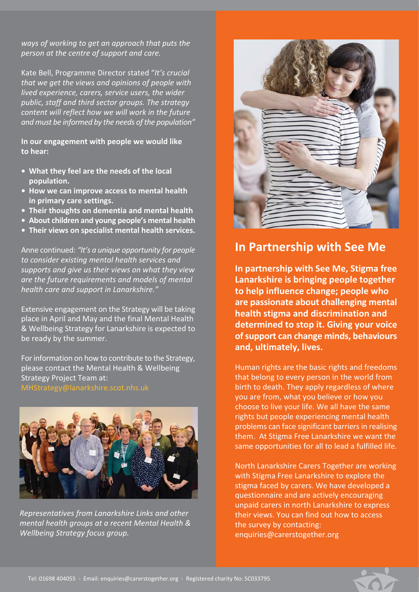ways of working to get an approach that puts the person at the centre of support and care.

Kate Bell, Programme Director stated "It's crucial that we get the views and opinions of people with lived experience, carers, service users, the wider public, staff and third sector groups. The strategy content will reflect how we will work in the future and must be informed by the needs of the population"

In our engagement with people we would like to hear:

- What they feel are the needs of the local population.
- How we can improve access to mental health in primary care settings.
- Their thoughts on dementia and mental health
- About children and young people's mental health
- Their views on specialist mental health services.

Anne continued: "It's a unique opportunity for people to consider existing mental health services and supports and give us their views on what they view are the future requirements and models of mental health care and support in Lanarkshire."

Extensive engagement on the Strategy will be taking place in April and May and the final Mental Health & Wellbeing Strategy for Lanarkshire is expected to be ready by the summer.

For information on how to contribute to the Strategy, please contact the Mental Health & Wellbeing **Strategy Project Team at:** MHStrategy@lanarkshire.scot.nhs.uk



Representatives from Lanarkshire Links and other mental health groups at a recent Mental Health & Wellbeing Strategy focus group.



### **In Partnership with See Me**

In partnership with See Me, Stigma free Lanarkshire is bringing people together to help influence change; people who are passionate about challenging mental health stigma and discrimination and determined to stop it. Giving your voice of support can change minds, behaviours and, ultimately, lives.

Human rights are the basic rights and freedoms that belong to every person in the world from birth to death. They apply regardless of where you are from, what you believe or how you choose to live your life. We all have the same rights but people experiencing mental health problems can face significant barriers in realising them. At Stigma Free Lanarkshire we want the same opportunities for all to lead a fulfilled life.

North Lanarkshire Carers Together are working with Stigma Free Lanarkshire to explore the stigma faced by carers. We have developed a questionnaire and are actively encouraging unpaid carers in north Lanarkshire to express their views. You can find out how to access the survey by contacting: enquiries@carerstogether.org

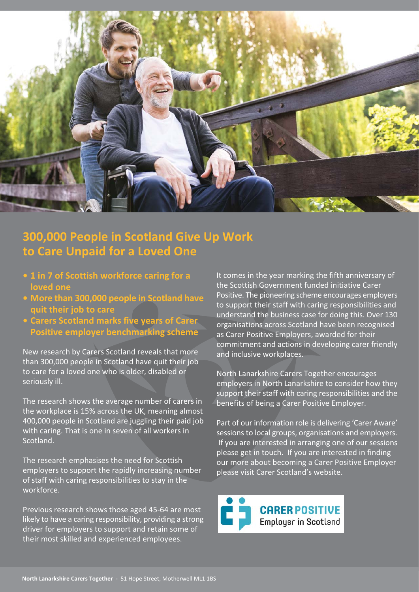

# 300,000 People in Scotland Give Up Work to Care Unpaid for a Loved One

- 1 in 7 of Scottish workforce caring for a loved one
- More than 300,000 people in Scotland have quit their job to care
- · Carers Scotland marks five years of Carer Positive employer benchmarking scheme

New research by Carers Scotland reveals that more than 300,000 people in Scotland have quit their job to care for a loved one who is older, disabled or seriously ill.

The research shows the average number of carers in the workplace is 15% across the UK, meaning almost 400,000 people in Scotland are juggling their paid job with caring. That is one in seven of all workers in Scotland.

The research emphasises the need for Scottish employers to support the rapidly increasing number of staff with caring responsibilities to stay in the workforce.

Previous research shows those aged 45-64 are most likely to have a caring responsibility, providing a strong driver for employers to support and retain some of their most skilled and experienced employees.

It comes in the year marking the fifth anniversary of the Scottish Government funded initiative Carer Positive. The pioneering scheme encourages employers to support their staff with caring responsibilities and understand the business case for doing this. Over 130 organisations across Scotland have been recognised as Carer Positive Employers, awarded for their commitment and actions in developing carer friendly and inclusive workplaces.

North Lanarkshire Carers Together encourages employers in North Lanarkshire to consider how they support their staff with caring responsibilities and the benefits of being a Carer Positive Employer.

Part of our information role is delivering 'Carer Aware' sessions to local groups, organisations and employers. If you are interested in arranging one of our sessions please get in touch. If you are interested in finding our more about becoming a Carer Positive Employer please visit Carer Scotland's website.

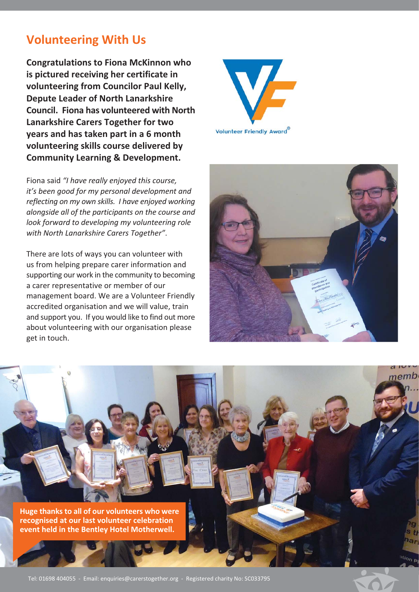## **Volunteering With Us**

**Congratulations to Fiona McKinnon who** is pictured receiving her certificate in volunteering from Councilor Paul Kelly, **Depute Leader of North Lanarkshire Council. Fiona has volunteered with North** Lanarkshire Carers Together for two years and has taken part in a 6 month volunteering skills course delivered by **Community Learning & Development.** 

Fiona said "I have really enjoyed this course, it's been good for my personal development and reflecting on my own skills. I have enjoyed working alongside all of the participants on the course and look forward to developing my volunteering role with North Lanarkshire Carers Together".

There are lots of ways you can volunteer with us from helping prepare carer information and supporting our work in the community to becoming a carer representative or member of our management board. We are a Volunteer Friendly accredited organisation and we will value, train and support you. If you would like to find out more about volunteering with our organisation please get in touch.